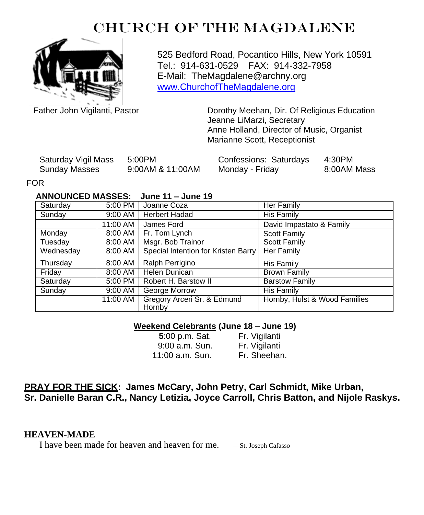# CHURCH OF THE MAGDALENE



525 Bedford Road, Pocantico Hills, New York 10591 Tel.: 914-631-0529 FAX: 914-332-7958 E-Mail: TheMagdalene@archny.org [www.ChurchofTheMagdalene.org](http://www.churchofthemagdalene.org/)

Father John Vigilanti, Pastor **Dorothy Meehan, Dir. Of Religious Education** Jeanne LiMarzi, Secretary Anne Holland, Director of Music, Organist Marianne Scott, Receptionist

| Saturday Vigil Mass | 5:00PM           | Confessions: Saturdays | 4:30PM      |
|---------------------|------------------|------------------------|-------------|
| Sunday Masses       | 9:00AM & 11:00AM | Monday - Friday        | 8:00AM Mass |

#### FOR

### **ANNOUNCED MASSES: June 11 – June 19**

| Saturday  | 5:00 PM  | Joanne Coza                           | Her Family                    |
|-----------|----------|---------------------------------------|-------------------------------|
| Sunday    | 9:00 AM  | Herbert Hadad                         | His Family                    |
|           | 11:00 AM | James Ford                            | David Impastato & Family      |
| Monday    | 8:00 AM  | Fr. Tom Lynch                         | <b>Scott Family</b>           |
| Tuesday   | 8:00 AM  | Msgr. Bob Trainor                     | <b>Scott Family</b>           |
| Wednesday | 8:00 AM  | Special Intention for Kristen Barry   | Her Family                    |
| Thursday  | 8:00 AM  | Ralph Perrigino                       | His Family                    |
| Friday    | 8:00 AM  | Helen Dunican                         | <b>Brown Family</b>           |
| Saturday  | 5:00 PM  | Robert H. Barstow II                  | <b>Barstow Family</b>         |
| Sunday    | 9:00 AM  | George Morrow                         | <b>His Family</b>             |
|           | 11:00 AM | Gregory Arceri Sr. & Edmund<br>Hornby | Hornby, Hulst & Wood Families |

#### **Weekend Celebrants (June 18 – June 19)**

| 5:00 p.m. Sat.  | Fr. Vigilanti |
|-----------------|---------------|
| 9:00 a.m. Sun.  | Fr. Vigilanti |
| 11:00 a.m. Sun. | Fr. Sheehan.  |

## **PRAY FOR THE SICK: James McCary, John Petry, Carl Schmidt, Mike Urban, Sr. Danielle Baran C.R., Nancy Letizia, Joyce Carroll, Chris Batton, and Nijole Raskys.**

## **HEAVEN-MADE**

I have been made for heaven and heaven for me. —St. Joseph Cafasso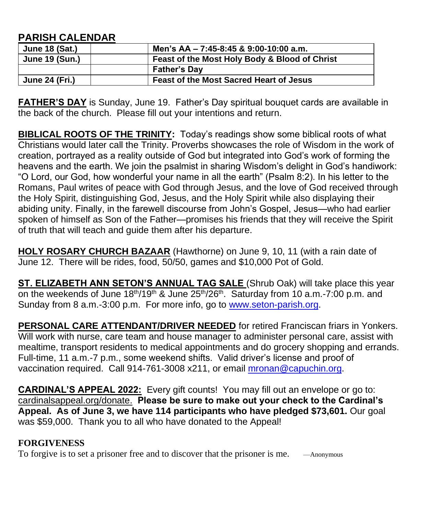## **PARISH CALENDAR**

| <b>June 18 (Sat.)</b> | Men's AA - 7:45-8:45 & 9:00-10:00 a.m.         |
|-----------------------|------------------------------------------------|
| <b>June 19 (Sun.)</b> | Feast of the Most Holy Body & Blood of Christ  |
|                       | <b>Father's Day</b>                            |
| <b>June 24 (Fri.)</b> | <b>Feast of the Most Sacred Heart of Jesus</b> |

**FATHER'S DAY** is Sunday, June 19. Father's Day spiritual bouquet cards are available in the back of the church. Please fill out your intentions and return.

**BIBLICAL ROOTS OF THE TRINITY:** Today's readings show some biblical roots of what Christians would later call the Trinity. Proverbs showcases the role of Wisdom in the work of creation, portrayed as a reality outside of God but integrated into God's work of forming the heavens and the earth. We join the psalmist in sharing Wisdom's delight in God's handiwork: "O Lord, our God, how wonderful your name in all the earth" (Psalm 8:2). In his letter to the Romans, Paul writes of peace with God through Jesus, and the love of God received through the Holy Spirit, distinguishing God, Jesus, and the Holy Spirit while also displaying their abiding unity. Finally, in the farewell discourse from John's Gospel, Jesus—who had earlier spoken of himself as Son of the Father—promises his friends that they will receive the Spirit of truth that will teach and guide them after his departure.

**HOLY ROSARY CHURCH BAZAAR** (Hawthorne) on June 9, 10, 11 (with a rain date of June 12. There will be rides, food, 50/50, games and \$10,000 Pot of Gold.

**ST. ELIZABETH ANN SETON'S ANNUAL TAG SALE** (Shrub Oak) will take place this year on the weekends of June  $18<sup>th</sup>/19<sup>th</sup>$  & June 25<sup>th</sup>/26<sup>th</sup>. Saturday from 10 a.m.-7:00 p.m. and Sunday from 8 a.m.-3:00 p.m. For more info, go to [www.seton-parish.org.](http://www.seton-parish.org/)

**PERSONAL CARE ATTENDANT/DRIVER NEEDED** for retired Franciscan friars in Yonkers. Will work with nurse, care team and house manager to administer personal care, assist with mealtime, transport residents to medical appointments and do grocery shopping and errands. Full-time, 11 a.m.-7 p.m., some weekend shifts. Valid driver's license and proof of vaccination required. Call 914-761-3008 x211, or email [mronan@capuchin.org.](mailto:mronan@capuchin.org)

**CARDINAL'S APPEAL 2022:** Every gift counts! You may fill out an envelope or go to: cardinalsappeal.org/donate. **Please be sure to make out your check to the Cardinal's Appeal. As of June 3, we have 114 participants who have pledged \$73,601.** Our goal was \$59,000. Thank you to all who have donated to the Appeal!

## **FORGIVENESS**

To forgive is to set a prisoner free and to discover that the prisoner is me. —Anonymous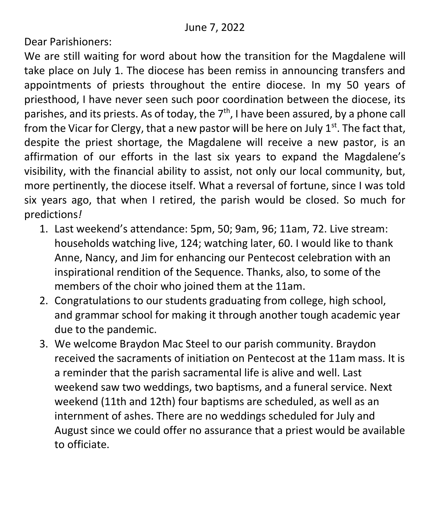Dear Parishioners:

We are still waiting for word about how the transition for the Magdalene will take place on July 1. The diocese has been remiss in announcing transfers and appointments of priests throughout the entire diocese. In my 50 years of priesthood, I have never seen such poor coordination between the diocese, its parishes, and its priests. As of today, the  $7<sup>th</sup>$ , I have been assured, by a phone call from the Vicar for Clergy, that a new pastor will be here on July  $1<sup>st</sup>$ . The fact that, despite the priest shortage, the Magdalene will receive a new pastor, is an affirmation of our efforts in the last six years to expand the Magdalene's visibility, with the financial ability to assist, not only our local community, but, more pertinently, the diocese itself. What a reversal of fortune, since I was told six years ago, that when I retired, the parish would be closed. So much for predictions*!*

- 1. Last weekend's attendance: 5pm, 50; 9am, 96; 11am, 72. Live stream: households watching live, 124; watching later, 60. I would like to thank Anne, Nancy, and Jim for enhancing our Pentecost celebration with an inspirational rendition of the Sequence. Thanks, also, to some of the members of the choir who joined them at the 11am.
- 2. Congratulations to our students graduating from college, high school, and grammar school for making it through another tough academic year due to the pandemic.
- 3. We welcome Braydon Mac Steel to our parish community. Braydon received the sacraments of initiation on Pentecost at the 11am mass. It is a reminder that the parish sacramental life is alive and well. Last weekend saw two weddings, two baptisms, and a funeral service. Next weekend (11th and 12th) four baptisms are scheduled, as well as an internment of ashes. There are no weddings scheduled for July and August since we could offer no assurance that a priest would be available to officiate.